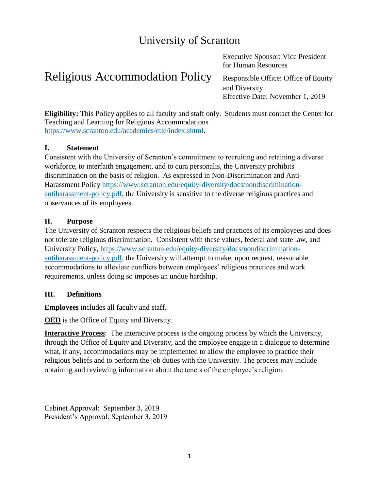# University of Scranton

# Religious Accommodation Policy Responsible Office: Office of Equity

Executive Sponsor: Vice President for Human Resources

and Diversity Effective Date: November 1, 2019

**Eligibility:** This Policy applies to all faculty and staff only. Students must contact the Center for Teaching and Learning for Religious Accommodations [https://www.scranton.edu/academics/ctle/index.shtml.](https://www.scranton.edu/academics/ctle/index.shtml)

#### **I. Statement**

Consistent with the University of Scranton's commitment to recruiting and retaining a diverse workforce, to interfaith engagement, and to cura personalis, the University prohibits discrimination on the basis of religion. As expressed in Non-Discrimination and Anti-Harassment Policy [https://www.scranton.edu/equity-diversity/docs/nondiscrimination](https://www.scranton.edu/equity-diversity/docs/nondiscrimination-antiharassment-policy.pdf)[antiharassment-policy.pdf,](https://www.scranton.edu/equity-diversity/docs/nondiscrimination-antiharassment-policy.pdf) the University is sensitive to the diverse religious practices and observances of its employees.

#### **II. Purpose**

The University of Scranton respects the religious beliefs and practices of its employees and does not tolerate religious discrimination. Consistent with these values, federal and state law, and University Policy, [https://www.scranton.edu/equity-diversity/docs/nondiscrimination](https://www.scranton.edu/equity-diversity/docs/nondiscrimination-antiharassment-policy.pdf)[antiharassment-policy.pdf,](https://www.scranton.edu/equity-diversity/docs/nondiscrimination-antiharassment-policy.pdf) the University will attempt to make, upon request, reasonable accommodations to alleviate conflicts between employees' religious practices and work requirements, unless doing so imposes an undue hardship.

#### **III. Definitions**

**Employees** includes all faculty and staff.

**OED** is the Office of Equity and Diversity.

**Interactive Process**: The interactive process is the ongoing process by which the University, through the Office of Equity and Diversity, and the employee engage in a dialogue to determine what, if any, accommodations may be implemented to allow the employee to practice their religious beliefs and to perform the job duties with the University. The process may include obtaining and reviewing information about the tenets of the employee's religion.

Cabinet Approval: September 3, 2019 President's Approval: September 3, 2019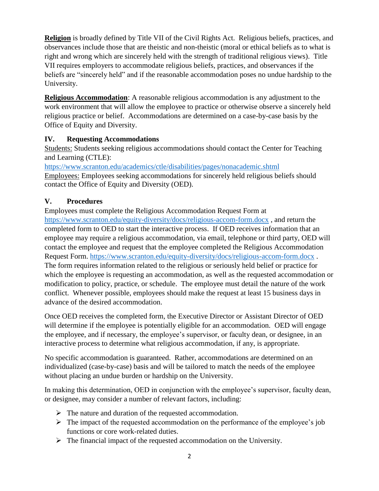**Religion** is broadly defined by Title VII of the Civil Rights Act. Religious beliefs, practices, and observances include those that are theistic and non-theistic (moral or ethical beliefs as to what is right and wrong which are sincerely held with the strength of traditional religious views). Title VII requires employers to accommodate religious beliefs, practices, and observances if the beliefs are "sincerely held" and if the reasonable accommodation poses no undue hardship to the University.

**Religious Accommodation**: A reasonable religious accommodation is any adjustment to the work environment that will allow the employee to practice or otherwise observe a sincerely held religious practice or belief. Accommodations are determined on a case-by-case basis by the Office of Equity and Diversity.

#### **IV. Requesting Accommodations**

Students: Students seeking religious accommodations should contact the Center for Teaching and Learning (CTLE):

https://www.scranton.edu/academics/ctle/disabilities/pages/nonacademic.shtml Employees: Employees seeking accommodations for sincerely held religious beliefs should contact the Office of Equity and Diversity (OED).

# **V. Procedures**

Employees must complete the Religious Accommodation Request Form at <https://www.scranton.edu/equity-diversity/docs/religious-accom-form.docx> , and return the completed form to OED to start the interactive process. If OED receives information that an employee may require a religious accommodation, via email, telephone or third party, OED will contact the employee and request that the employee completed the Religious Accommodation Request Form. <https://www.scranton.edu/equity-diversity/docs/religious-accom-form.docx> . The form requires information related to the religious or seriously held belief or practice for which the employee is requesting an accommodation, as well as the requested accommodation or modification to policy, practice, or schedule. The employee must detail the nature of the work conflict. Whenever possible, employees should make the request at least 15 business days in advance of the desired accommodation.

Once OED receives the completed form, the Executive Director or Assistant Director of OED will determine if the employee is potentially eligible for an accommodation. OED will engage the employee, and if necessary, the employee's supervisor, or faculty dean, or designee, in an interactive process to determine what religious accommodation, if any, is appropriate.

No specific accommodation is guaranteed. Rather, accommodations are determined on an individualized (case-by-case) basis and will be tailored to match the needs of the employee without placing an undue burden or hardship on the University.

In making this determination, OED in conjunction with the employee's supervisor, faculty dean, or designee, may consider a number of relevant factors, including:

- ➢ The nature and duration of the requested accommodation.
- ➢ The impact of the requested accommodation on the performance of the employee's job functions or core work-related duties.
- ➢ The financial impact of the requested accommodation on the University.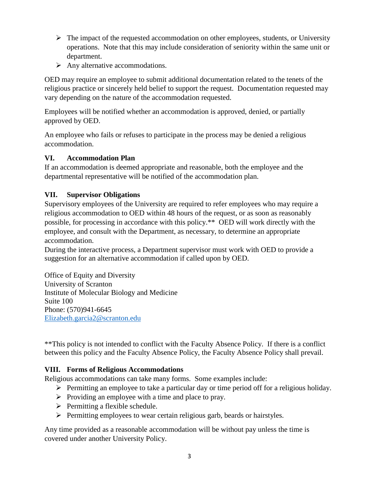- $\triangleright$  The impact of the requested accommodation on other employees, students, or University operations. Note that this may include consideration of seniority within the same unit or department.
- $\triangleright$  Any alternative accommodations.

OED may require an employee to submit additional documentation related to the tenets of the religious practice or sincerely held belief to support the request. Documentation requested may vary depending on the nature of the accommodation requested.

Employees will be notified whether an accommodation is approved, denied, or partially approved by OED.

An employee who fails or refuses to participate in the process may be denied a religious accommodation.

#### **VI. Accommodation Plan**

If an accommodation is deemed appropriate and reasonable, both the employee and the departmental representative will be notified of the accommodation plan.

#### **VII. Supervisor Obligations**

Supervisory employees of the University are required to refer employees who may require a religious accommodation to OED within 48 hours of the request, or as soon as reasonably possible, for processing in accordance with this policy.\*\* OED will work directly with the employee, and consult with the Department, as necessary, to determine an appropriate accommodation.

During the interactive process, a Department supervisor must work with OED to provide a suggestion for an alternative accommodation if called upon by OED.

Office of Equity and Diversity University of Scranton Institute of Molecular Biology and Medicine Suite 100 Phone: (570)941-6645 [Elizabeth.garcia2@scranton.edu](mailto:Elizabeth.garcia2@scranton.edu)

\*\*This policy is not intended to conflict with the Faculty Absence Policy. If there is a conflict between this policy and the Faculty Absence Policy, the Faculty Absence Policy shall prevail.

#### **VIII. Forms of Religious Accommodations**

Religious accommodations can take many forms. Some examples include:

- ➢ Permitting an employee to take a particular day or time period off for a religious holiday.
- ➢ Providing an employee with a time and place to pray.
- ➢ Permitting a flexible schedule.
- ➢ Permitting employees to wear certain religious garb, beards or hairstyles.

Any time provided as a reasonable accommodation will be without pay unless the time is covered under another University Policy.